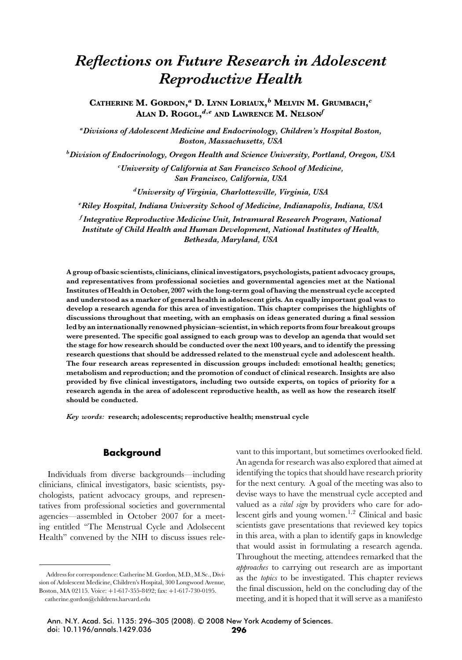# *Reflections on Future Research in Adolescent Reproductive Health*

**CATHERINE M. GORDON,** *<sup>a</sup>* **D. LYNN LORIAUX,** *<sup>b</sup>* **MELVIN M. GRUMBACH,** *c* **ALAN D. ROGOL,** *<sup>d</sup>***,***<sup>e</sup>* **AND LAWRENCE M. NELSON***<sup>f</sup>*

*aDivisions of Adolescent Medicine and Endocrinology, Children's Hospital Boston, Boston, Massachusetts, USA*

*bDivision of Endocrinology, Oregon Health and Science University, Portland, Oregon, USA*

*c University of California at San Francisco School of Medicine, San Francisco, California, USA*

*dUniversity of Virginia, Charlottesville, Virginia, USA*

*eRiley Hospital, Indiana University School of Medicine, Indianapolis, Indiana, USA*

*fIntegrative Reproductive Medicine Unit, Intramural Research Program, National Institute of Child Health and Human Development, National Institutes of Health, Bethesda, Maryland, USA*

**A group of basic scientists, clinicians, clinical investigators, psychologists, patient advocacy groups, and representatives from professional societies and governmental agencies met at the National Institutes of Health in October, 2007 with the long-term goal of having the menstrual cycle accepted and understood as a marker of general health in adolescent girls. An equally important goal was to develop a research agenda for this area of investigation. This chapter comprises the highlights of discussions throughout that meeting, with an emphasis on ideas generated during a final session led by an internationally renowned physician–scientist, in which reports from four breakout groups were presented. The specific goal assigned to each group was to develop an agenda that would set the stage for how research should be conducted over the next 100 years, and to identify the pressing research questions that should be addressed related to the menstrual cycle and adolescent health. The four research areas represented in discussion groups included: emotional health; genetics; metabolism and reproduction; and the promotion of conduct of clinical research. Insights are also provided by five clinical investigators, including two outside experts, on topics of priority for a research agenda in the area of adolescent reproductive health, as well as how the research itself should be conducted.**

*Key words:* **research; adolescents; reproductive health; menstrual cycle**

# **Background**

Individuals from diverse backgrounds—including clinicians, clinical investigators, basic scientists, psychologists, patient advocacy groups, and representatives from professional societies and governmental agencies—assembled in October 2007 for a meeting entitled "The Menstrual Cycle and Adolsecent Health" convened by the NIH to discuss issues relevant to this important, but sometimes overlooked field. An agenda for research was also explored that aimed at identifying the topics that should have research priority for the next century. A goal of the meeting was also to devise ways to have the menstrual cycle accepted and valued as a *vital sign* by providers who care for adolescent girls and young women.<sup>1</sup>*,*<sup>2</sup> Clinical and basic scientists gave presentations that reviewed key topics in this area, with a plan to identify gaps in knowledge that would assist in formulating a research agenda. Throughout the meeting, attendees remarked that the *approaches* to carrying out research are as important as the *topics* to be investigated. This chapter reviews the final discussion, held on the concluding day of the meeting, and it is hoped that it will serve as a manifesto

Ann. N.Y. Acad. Sci. 1135: 296–305 (2008). **-**<sup>C</sup> 2008 New York Academy of Sciences. doi: 10.1196/annals.1429.036 **296**

Address for correspondence: Catherine M. Gordon, M.D., M.Sc., Division of Adolescent Medicine, Children's Hospital, 300 Longwood Avenue, Boston, MA 02115. Voice: +1-617-355-8492; fax: +1-617-730-0195.

catherine.gordon@childrens.harvard.edu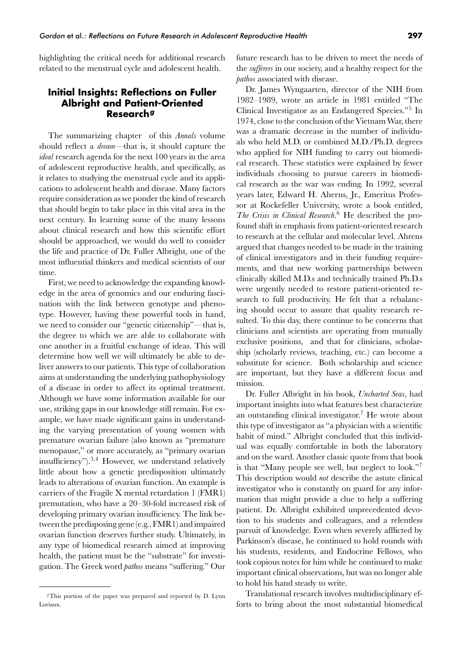highlighting the critical needs for additional research related to the menstrual cycle and adolescent health.

# **Initial Insights: Reflections on Fuller Albright and Patient-Oriented Research<sup>g</sup>**

The summarizing chapter of this *Annals* volume should reflect a *dream—*that is, it should capture the *ideal* research agenda for the next 100 years in the area of adolescent reproductive health, and specifically, as it relates to studying the menstrual cycle and its applications to adolescent health and disease. Many factors require consideration as we ponder the kind of research that should begin to take place in this vital area in the next century. In learning some of the many lessons about clinical research and how this scientific effort should be approached, we would do well to consider the life and practice of Dr. Fuller Albright, one of the most influential thinkers and medical scientists of our time.

First, we need to acknowledge the expanding knowledge in the area of genomics and our enduring fascination with the link between genotype and phenotype. However, having these powerful tools in hand, we need to consider our "genetic citizenship"—that is, the degree to which we are able to collaborate with one another in a fruitful exchange of ideas. This will determine how well we will ultimately be able to deliver answers to our patients. This type of collaboration aims at understanding the underlying pathophysiology of a disease in order to affect its optimal treatment. Although we have some information available for our use, striking gaps in our knowledge still remain. For example, we have made significant gains in understanding the varying presentation of young women with premature ovarian failure (also known as "premature menopause," or more accurately, as "primary ovarian insufficiency").<sup>3</sup>*,*<sup>4</sup> However, we understand relatively little about how a genetic predisposition ultimately leads to alterations of ovarian function. An example is carriers of the Fragile X mental retardation 1 (FMR1) premutation, who have a 20–30-fold increased risk of developing primary ovarian insufficiency. The link between the predisposing gene (e.g., FMR1) and impaired ovarian function deserves further study. Ultimately, in any type of biomedical research aimed at improving health, the patient must be the "substrate" for investigation. The Greek word *pathos* means "suffering." Our future research has to be driven to meet the needs of the *sufferers* in our society, and a healthy respect for the *pathos* associated with disease.

Dr. James Wyngaarten, director of the NIH from 1982–1989, wrote an article in 1981 entitled "The Clinical Investigator as an Endangered Species."5 In 1974, close to the conclusion of the Vietnam War, there was a dramatic decrease in the number of individuals who held M.D. or combined M.D./Ph.D. degrees who applied for NIH funding to carry out biomedical research. These statistics were explained by fewer individuals choosing to pursue careers in biomedical research as the war was ending. In 1992, several years later, Edward H. Aherns, Jr., Emeritus Professor at Rockefeller University, wrote a book entitled, *The Crisis in Clinical Research*. <sup>6</sup> He described the profound shift in emphasis from patient-oriented research to research at the cellular and molecular level. Ahrens argued that changes needed to be made in the training of clinical investigators and in their funding requirements, and that new working partnerships between clinically skilled M.D.s and technically trained Ph.D.s were urgently needed to restore patient-oriented research to full productivity. He felt that a rebalancing should occur to assure that quality research resulted. To this day, there continue to be concerns that clinicians and scientists are operating from mutually exclusive positions, and that for clinicians, scholarship (scholarly reviews, teaching, etc.) can become a substitute for science. Both scholarship and science are important, but they have a different focus and mission.

Dr. Fuller Albright in his book, *Uncharted Seas*, had important insights into what features best characterize an outstanding clinical investigator.<sup>7</sup> He wrote about this type of investigator as "a physician with a scientific habit of mind." Albright concluded that this individual was equally comfortable in both the laboratory and on the ward. Another classic quote from that book is that "Many people see well, but neglect to look."<sup>7</sup> This description would *not* describe the astute clinical investigator who is constantly on guard for any information that might provide a clue to help a suffering patient. Dr. Albright exhibited unprecedented devotion to his students and colleagues, and a relentless pursuit of knowledge. Even when severely afflicted by Parkinson's disease, he continued to hold rounds with his students, residents, and Endocrine Fellows, who took copious notes for him while he continued to make important clinical observations, but was no longer able to hold his hand steady to write.

Translational research involves multidisciplinary efforts to bring about the most substantial biomedical

*g* This portion of the paper was prepared and reported by D. Lynn Loriaux.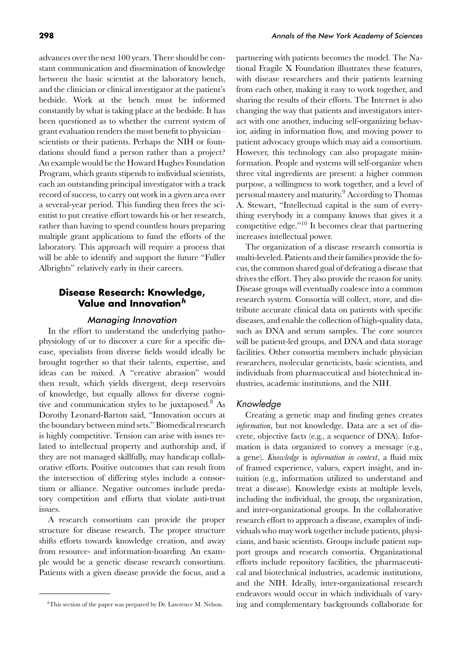advances over the next 100 years. There should be constant communication and dissemination of knowledge between the basic scientist at the laboratory bench, and the clinician or clinical investigator at the patient's bedside. Work at the bench must be informed constantly by what is taking place at the bedside. It has been questioned as to whether the current system of grant evaluation renders the most benefit to physician– scientists or their patients. Perhaps the NIH or foundations should fund a person rather than a project? An example would be the Howard Hughes Foundation Program, which grants stipends to individual scientists, each an outstanding principal investigator with a track record of success, to carry out work in a given area over a several-year period. This funding then frees the scientist to put creative effort towards his or her research, rather than having to spend countless hours preparing multiple grant applications to fund the efforts of the laboratory. This approach will require a process that will be able to identify and support the future "Fuller Albrights" relatively early in their careers.

# **Disease Research: Knowledge, Value and Innovation<sup>h</sup>**

#### Managing Innovation

In the effort to understand the underlying pathophysiology of or to discover a cure for a specific disease, specialists from diverse fields would ideally be brought together so that their talents, expertise, and ideas can be mixed. A "creative abrasion" would then result, which yields divergent, deep reservoirs of knowledge, but equally allows for diverse cognitive and communication styles to be juxtaposed.<sup>8</sup> As Dorothy Leonard-Barton said, "Innovation occurs at the boundary between mind sets." Biomedical research is highly competitive. Tension can arise with issues related to intellectual property and authorship and, if they are not managed skillfully, may handicap collaborative efforts. Positive outcomes that can result from the intersection of differing styles include a consortium or alliance. Negative outcomes include predatory competition and efforts that violate anti-trust issues.

A research consortium can provide the proper structure for disease research. The proper structure shifts efforts towards knowledge creation, and away from resource- and information-hoarding. An example would be a genetic disease research consortium. Patients with a given disease provide the focus, and a partnering with patients becomes the model. The National Fragile X Foundation illustrates these features, with disease researchers and their patients learning from each other, making it easy to work together, and sharing the results of their efforts. The Internet is also changing the way that patients and investigators interact with one another, inducing self-organizing behavior, aiding in information flow, and moving power to patient advocacy groups which may aid a consortium. However, this technology can also propagate misinformation. People and systems will self-organize when three vital ingredients are present: a higher common purpose, a willingness to work together, and a level of personal mastery and maturity.<sup>9</sup> According to Thomas A. Stewart, "Intellectual capital is the sum of everything everybody in a company knows that gives it a competitive edge."<sup>10</sup> It becomes clear that partnering increases intellectual power.

The organization of a disease research consortia is multi-leveled. Patients and their families provide the focus, the common shared goal of defeating a disease that drives the effort. They also provide the reason for unity. Disease groups will eventually coalesce into a common research system. Consortia will collect, store, and distribute accurate clinical data on patients with specific diseases, and enable the collection of high-quality data, such as DNA and serum samples. The core sources will be patient-led groups, and DNA and data storage facilities. Other consortia members include physician researchers, molecular geneticists, basic scientists, and individuals from pharmaceutical and biotechnical industries, academic institutions, and the NIH.

#### *Knowledge*

Creating a genetic map and finding genes creates *information*, but not knowledge. Data are a set of discrete, objective facts (e.g., a sequence of DNA). Information is data organized to convey a message (e.g., a gene). *Knowledge* is *information in context*, a fluid mix of framed experience, values, expert insight, and intuition (e.g., information utilized to understand and treat a disease). Knowledge exists at multiple levels, including the individual, the group, the organization, and inter-organizational groups. In the collaborative research effort to approach a disease, examples of individuals who may work together include patients, physicians, and basic scientists. Groups include patient support groups and research consortia. Organizational efforts include repository facilities, the pharmaceutical and biotechnical industries, academic institutions, and the NIH. Ideally, inter-organizational research endeavors would occur in which individuals of varying and complementary backgrounds collaborate for

*<sup>h</sup>*This section of the paper was prepared by Dr. Lawrence M. Nelson.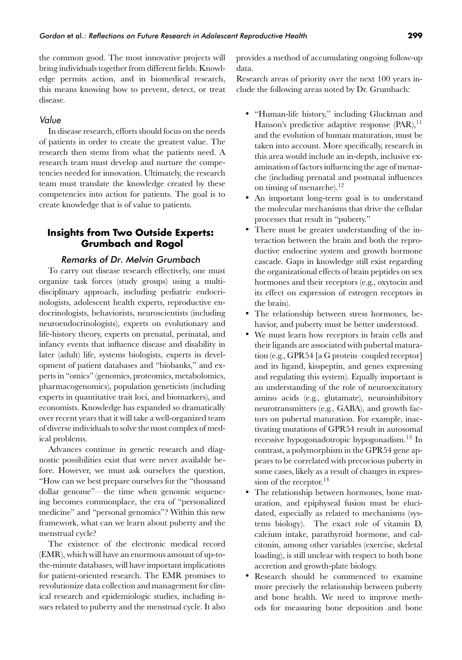the common good. The most innovative projects will bring individuals together from different fields. Knowledge permits action, and in biomedical research, this means knowing how to prevent, detect, or treat disease.

## *Value*

In disease research, efforts should focus on the needs of patients in order to create the greatest value. The research then stems from what the patients need. A research team must develop and nurture the competencies needed for innovation. Ultimately, the research team must translate the knowledge created by these competencies into action for patients. The goal is to create knowledge that is of value to patients.

# **Insights from Two Outside Experts: Grumbach and Rogol**

# Remarks of Dr. Melvin Grumbach

To carry out disease research effectively, one must organize task forces (study groups) using a multidisciplinary approach, including pediatric endocrinologists, adolescent health experts, reproductive endocrinologists, behaviorists, neuroscientists (including neuroendocrinologists), experts on evolutionary and life-history theory, experts on prenatal, perinatal, and infancy events that influence disease and disability in later (adult) life, systems biologists, experts in development of patient databases and "biobanks," and experts in "omics" (genomics, proteomics, metabolomics, pharmacogenomics), population geneticists (including experts in quantitative trait loci, and biomarkers), and economists. Knowledge has expanded so dramatically over recent years that it will take a well-organized team of diverse individuals to solve the most complex of medical problems.

Advances continue in genetic research and diagnostic possibilities exist that were never available before. However, we must ask ourselves the question, "How can we best prepare ourselves for the "thousand dollar genome"—the time when genomic sequencing becomes commonplace, the era of "personalized medicine" and "personal genomics"? Within this new framework, what can we learn about puberty and the menstrual cycle?

The existence of the electronic medical record (EMR), which will have an enormous amount of up-tothe-minute databases, will have important implications for patient-oriented research. The EMR promises to revolutionize data collection and management for clinical research and epidemiologic studies, including issues related to puberty and the menstrual cycle. It also provides a method of accumulating ongoing follow-up data.

Research areas of priority over the next 100 years include the following areas noted by Dr. Grumbach:

- "Human-life history," including Gluckman and Hanson's predictive adaptive response  $(PAR)$ ,  $^{11}$ and the evolution of human maturation, must be taken into account. More specifically, research in this area would include an in-depth, inclusive examination of factors influencing the age of menarche (including prenatal and postnatal influences on timing of menarche). $^{12}$
- An important long-term goal is to understand the molecular mechanisms that drive the cellular processes that result in "puberty."
- There must be greater understanding of the interaction between the brain and both the reproductive endocrine system and growth hormone cascade. Gaps in knowledge still exist regarding the organizational effects of brain peptides on sex hormones and their receptors (e.g., oxytocin and its effect on expression of estrogen receptors in the brain).
- The relationship between stress hormones, behavior, and puberty must be better understood.
- We must learn how receptors in brain cells and their ligands are associated with pubertal maturation (e.g., GPR54 [a G protein–coupled receptor] and its ligand, kisspeptin, and genes expressing and regulating this system). Equally important is an understanding of the role of neuroexcitatory amino acids (e.g., glutamate), neuroinhibitory neurotransmitters (e.g., GABA), and growth factors on pubertal maturation. For example, inactivating mutations of GPR54 result in autosomal recessive hypogonadotropic hypogonadism.<sup>13</sup> In contrast, a polymorphism in the GPR54 gene appears to be correlated with precocious puberty in some cases, likely as a result of changes in expression of the receptor.<sup>14</sup>
- The relationship between hormones, bone maturation, and epiphyseal fusion must be elucidated, especially as related to mechanisms (systems biology). The exact role of vitamin D, calcium intake, parathyroid hormone, and calcitonin, among other variables (exercise, skeletal loading), is still unclear with respect to both bone accretion and growth-plate biology.
- Research should be commenced to examine more precisely the relationship between puberty and bone health. We need to improve methods for measuring bone deposition and bone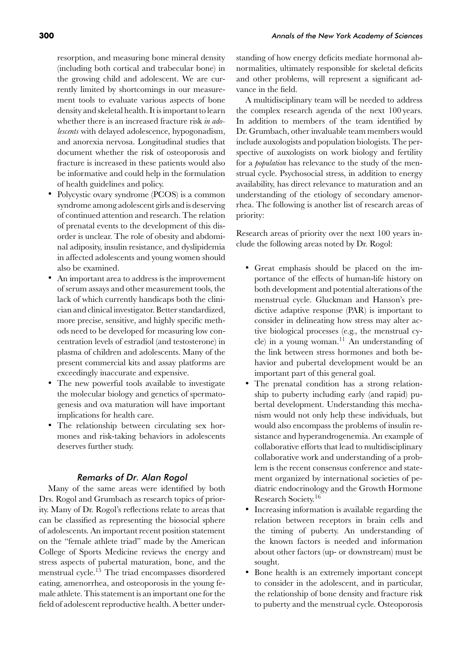resorption, and measuring bone mineral density (including both cortical and trabecular bone) in the growing child and adolescent. We are currently limited by shortcomings in our measurement tools to evaluate various aspects of bone density and skeletal health. It is important to learn whether there is an increased fracture risk *in adolescents* with delayed adolescence, hypogonadism, and anorexia nervosa. Longitudinal studies that document whether the risk of osteoporosis and fracture is increased in these patients would also be informative and could help in the formulation of health guidelines and policy.

- Polycystic ovary syndrome (PCOS) is a common syndrome among adolescent girls and is deserving of continued attention and research. The relation of prenatal events to the development of this disorder is unclear. The role of obesity and abdominal adiposity, insulin resistance, and dyslipidemia in affected adolescents and young women should also be examined.
- An important area to address is the improvement of serum assays and other measurement tools, the lack of which currently handicaps both the clinician and clinical investigator. Better standardized, more precise, sensitive, and highly specific methods need to be developed for measuring low concentration levels of estradiol (and testosterone) in plasma of children and adolescents. Many of the present commercial kits and assay platforms are exceedingly inaccurate and expensive.
- The new powerful tools available to investigate the molecular biology and genetics of spermatogenesis and ova maturation will have important implications for health care.
- The relationship between circulating sex hormones and risk-taking behaviors in adolescents deserves further study.

## Remarks of Dr. Alan Rogol

Many of the same areas were identified by both Drs. Rogol and Grumbach as research topics of priority. Many of Dr. Rogol's reflections relate to areas that can be classified as representing the biosocial sphere of adolescents. An important recent position statement on the "female athlete triad" made by the American College of Sports Medicine reviews the energy and stress aspects of pubertal maturation, bone, and the menstrual cycle.<sup>15</sup> The triad encompasses disordered eating, amenorrhea, and osteoporosis in the young female athlete. This statement is an important one for the field of adolescent reproductive health. A better understanding of how energy deficits mediate hormonal abnormalities, ultimately responsible for skeletal deficits and other problems, will represent a significant advance in the field.

A multidisciplinary team will be needed to address the complex research agenda of the next 100 years. In addition to members of the team identified by Dr. Grumbach, other invaluable team members would include auxologists and population biologists. The perspective of auxologists on work biology and fertility for a *population* has relevance to the study of the menstrual cycle. Psychosocial stress, in addition to energy availability, has direct relevance to maturation and an understanding of the etiology of secondary amenorrhea. The following is another list of research areas of priority:

Research areas of priority over the next 100 years include the following areas noted by Dr. Rogol:

- Great emphasis should be placed on the importance of the effects of human-life history on both development and potential alterations of the menstrual cycle. Gluckman and Hanson's predictive adaptive response (PAR) is important to consider in delineating how stress may alter active biological processes (e.g., the menstrual cycle) in a young woman.<sup>11</sup> An understanding of the link between stress hormones and both behavior and pubertal development would be an important part of this general goal.
- The prenatal condition has a strong relationship to puberty including early (and rapid) pubertal development. Understanding this mechanism would not only help these individuals, but would also encompass the problems of insulin resistance and hyperandrogenemia. An example of collaborative efforts that lead to multidisciplinary collaborative work and understanding of a problem is the recent consensus conference and statement organized by international societies of pediatric endocrinology and the Growth Hormone Research Society.<sup>16</sup>
- Increasing information is available regarding the relation between receptors in brain cells and the timing of puberty. An understanding of the known factors is needed and information about other factors (up- or downstream) must be sought.
- Bone health is an extremely important concept to consider in the adolescent, and in particular, the relationship of bone density and fracture risk to puberty and the menstrual cycle. Osteoporosis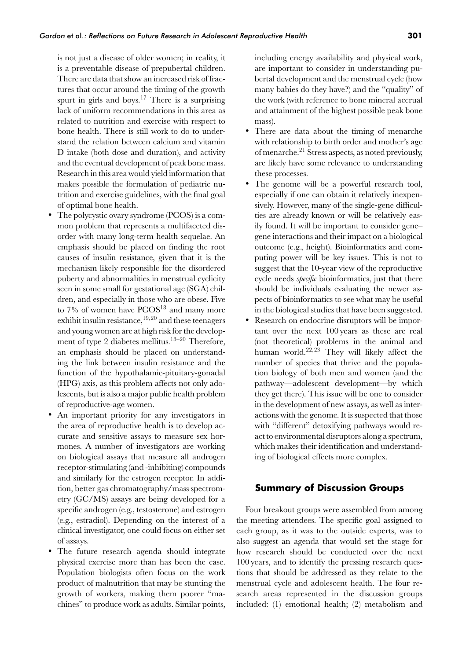is not just a disease of older women; in reality, it is a preventable disease of prepubertal children. There are data that show an increased risk of fractures that occur around the timing of the growth spurt in girls and boys.<sup>17</sup> There is a surprising lack of uniform recommendations in this area as related to nutrition and exercise with respect to bone health. There is still work to do to understand the relation between calcium and vitamin D intake (both dose and duration), and activity and the eventual development of peak bone mass. Research in this area would yield information that makes possible the formulation of pediatric nutrition and exercise guidelines, with the final goal of optimal bone health.

- The polycystic ovary syndrome (PCOS) is a common problem that represents a multifaceted disorder with many long-term health sequelae. An emphasis should be placed on finding the root causes of insulin resistance, given that it is the mechanism likely responsible for the disordered puberty and abnormalities in menstrual cyclicity seen in some small for gestational age (SGA) children, and especially in those who are obese. Five to  $7\%$  of women have  $PCOS^{18}$  and many more exhibit insulin resistance,<sup>19,20</sup> and these teenagers and young women are at high risk for the development of type 2 diabetes mellitus.<sup>18–20</sup> Therefore, an emphasis should be placed on understanding the link between insulin resistance and the function of the hypothalamic-pituitary-gonadal (HPG) axis, as this problem affects not only adolescents, but is also a major public health problem of reproductive-age women.
- An important priority for any investigators in the area of reproductive health is to develop accurate and sensitive assays to measure sex hormones. A number of investigators are working on biological assays that measure all androgen receptor-stimulating (and -inhibiting) compounds and similarly for the estrogen receptor. In addition, better gas chromatography/mass spectrometry (GC/MS) assays are being developed for a specific androgen (e.g., testosterone) and estrogen (e.g., estradiol). Depending on the interest of a clinical investigator, one could focus on either set of assays.
- The future research agenda should integrate physical exercise more than has been the case. Population biologists often focus on the work product of malnutrition that may be stunting the growth of workers, making them poorer "machines" to produce work as adults. Similar points,

including energy availability and physical work, are important to consider in understanding pubertal development and the menstrual cycle (how many babies do they have?) and the "quality" of the work (with reference to bone mineral accrual and attainment of the highest possible peak bone mass).

- There are data about the timing of menarche with relationship to birth order and mother's age of menarche.<sup>21</sup> Stress aspects, as noted previously, are likely have some relevance to understanding these processes.
- The genome will be a powerful research tool, especially if one can obtain it relatively inexpensively. However, many of the single-gene difficulties are already known or will be relatively easily found. It will be important to consider gene– gene interactions and their impact on a biological outcome (e.g., height). Bioinformatics and computing power will be key issues. This is not to suggest that the 10-year view of the reproductive cycle needs *specific* bioinformatics, just that there should be individuals evaluating the newer aspects of bioinformatics to see what may be useful in the biological studies that have been suggested.
- Research on endocrine disruptors will be important over the next 100 years as these are real (not theoretical) problems in the animal and human world.22*,*<sup>23</sup> They will likely affect the number of species that thrive and the population biology of both men and women (and the pathway—adolescent development—by which they get there). This issue will be one to consider in the development of new assays, as well as interactions with the genome. It is suspected that those with "different" detoxifying pathways would react to environmental disruptors along a spectrum, which makes their identification and understanding of biological effects more complex.

## **Summary of Discussion Groups**

Four breakout groups were assembled from among the meeting attendees. The specific goal assigned to each group, as it was to the outside experts, was to also suggest an agenda that would set the stage for how research should be conducted over the next 100 years, and to identify the pressing research questions that should be addressed as they relate to the menstrual cycle and adolescent health. The four research areas represented in the discussion groups included: (1) emotional health; (2) metabolism and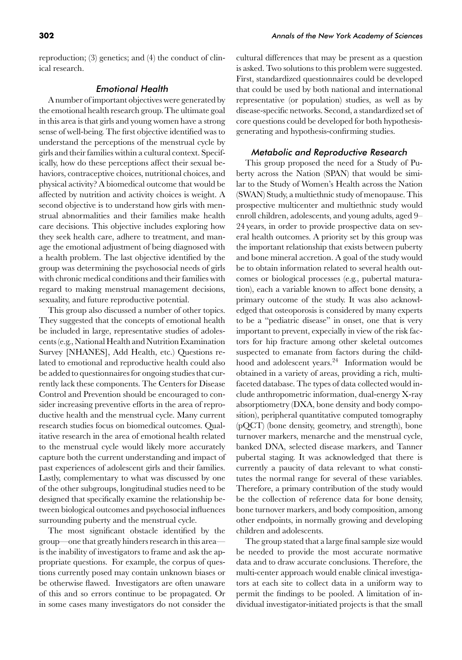reproduction; (3) genetics; and (4) the conduct of clinical research.

## Emotional Health

A number of important objectives were generated by the emotional health research group. The ultimate goal in this area is that girls and young women have a strong sense of well-being. The first objective identified was to understand the perceptions of the menstrual cycle by girls and their families within a cultural context. Specifically, how do these perceptions affect their sexual behaviors, contraceptive choices, nutritional choices, and physical activity? A biomedical outcome that would be affected by nutrition and activity choices is weight. A second objective is to understand how girls with menstrual abnormalities and their families make health care decisions. This objective includes exploring how they seek health care, adhere to treatment, and manage the emotional adjustment of being diagnosed with a health problem. The last objective identified by the group was determining the psychosocial needs of girls with chronic medical conditions and their families with regard to making menstrual management decisions, sexuality, and future reproductive potential.

This group also discussed a number of other topics. They suggested that the concepts of emotional health be included in large, representative studies of adolescents (e.g., National Health and Nutrition Examination Survey [NHANES], Add Health, etc.) Questions related to emotional and reproductive health could also be added to questionnaires for ongoing studies that currently lack these components. The Centers for Disease Control and Prevention should be encouraged to consider increasing preventive efforts in the area of reproductive health and the menstrual cycle. Many current research studies focus on biomedical outcomes. Qualitative research in the area of emotional health related to the menstrual cycle would likely more accurately capture both the current understanding and impact of past experiences of adolescent girls and their families. Lastly, complementary to what was discussed by one of the other subgroups, longitudinal studies need to be designed that specifically examine the relationship between biological outcomes and psychosocial influences surrounding puberty and the menstrual cycle.

The most significant obstacle identified by the group—one that greatly hinders research in this area is the inability of investigators to frame and ask the appropriate questions. For example, the corpus of questions currently posed may contain unknown biases or be otherwise flawed. Investigators are often unaware of this and so errors continue to be propagated. Or in some cases many investigators do not consider the cultural differences that may be present as a question is asked. Two solutions to this problem were suggested. First, standardized questionnaires could be developed that could be used by both national and international representative (or population) studies, as well as by disease-specific networks. Second, a standardized set of core questions could be developed for both hypothesisgenerating and hypothesis-confirming studies.

#### Metabolic and Reproductive Research

This group proposed the need for a Study of Puberty across the Nation (SPAN) that would be similar to the Study of Women's Health across the Nation (SWAN) Study, a multiethnic study of menopause. This prospective multicenter and multiethnic study would enroll children, adolescents, and young adults, aged 9– 24 years, in order to provide prospective data on several health outcomes. A priority set by this group was the important relationship that exists between puberty and bone mineral accretion. A goal of the study would be to obtain information related to several health outcomes or biological processes (e.g., pubertal maturation), each a variable known to affect bone density, a primary outcome of the study. It was also acknowledged that osteoporosis is considered by many experts to be a "pediatric disease" in onset, one that is very important to prevent, expecially in view of the risk factors for hip fracture among other skeletal outcomes suspected to emanate from factors during the childhood and adolescent years.<sup>24</sup> Information would be obtained in a variety of areas, providing a rich, multifaceted database. The types of data collected would include anthropometric information, dual-energy X-ray absorptiometry (DXA, bone density and body composition), peripheral quantitative computed tomography (pQCT) (bone density, geometry, and strength), bone turnover markers, menarche and the menstrual cycle, banked DNA, selected disease markers, and Tanner pubertal staging. It was acknowledged that there is currently a paucity of data relevant to what constitutes the normal range for several of these variables. Therefore, a primary contribution of the study would be the collection of reference data for bone density, bone turnover markers, and body composition, among other endpoints, in normally growing and developing children and adolescents.

The group stated that a large final sample size would be needed to provide the most accurate normative data and to draw accurate conclusions. Therefore, the multi-center approach would enable clinical investigators at each site to collect data in a uniform way to permit the findings to be pooled. A limitation of individual investigator-initiated projects is that the small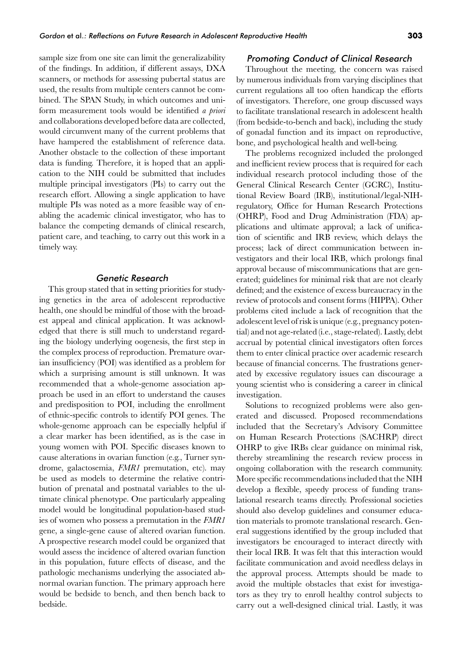sample size from one site can limit the generalizability of the findings. In addition, if different assays, DXA scanners, or methods for assessing pubertal status are used, the results from multiple centers cannot be combined. The SPAN Study, in which outcomes and uniform measurement tools would be identified *a priori* and collaborations developed before data are collected, would circumvent many of the current problems that have hampered the establishment of reference data. Another obstacle to the collection of these important data is funding. Therefore, it is hoped that an application to the NIH could be submitted that includes multiple principal investigators (PIs) to carry out the research effort. Allowing a single application to have multiple PIs was noted as a more feasible way of enabling the academic clinical investigator, who has to balance the competing demands of clinical research, patient care, and teaching, to carry out this work in a timely way.

#### Genetic Research

This group stated that in setting priorities for studying genetics in the area of adolescent reproductive health, one should be mindful of those with the broadest appeal and clinical application. It was acknowledged that there is still much to understand regarding the biology underlying oogenesis, the first step in the complex process of reproduction. Premature ovarian insufficiency (POI) was identified as a problem for which a surprising amount is still unknown. It was recommended that a whole-genome association approach be used in an effort to understand the causes and predisposition to POI, including the enrollment of ethnic-specific controls to identify POI genes. The whole-genome approach can be especially helpful if a clear marker has been identified, as is the case in young women with POI. Specific diseases known to cause alterations in ovarian function (e.g., Turner syndrome, galactosemia, *FMR1* premutation, etc). may be used as models to determine the relative contribution of prenatal and postnatal variables to the ultimate clinical phenotype. One particularly appealing model would be longitudinal population-based studies of women who possess a premutation in the *FMR1* gene, a single-gene cause of altered ovarian function. A prospective research model could be organized that would assess the incidence of altered ovarian function in this population, future effects of disease, and the pathologic mechanisms underlying the associated abnormal ovarian function. The primary approach here would be bedside to bench, and then bench back to bedside.

## Promoting Conduct of Clinical Research

Throughout the meeting, the concern was raised by numerous individuals from varying disciplines that current regulations all too often handicap the efforts of investigators. Therefore, one group discussed ways to facilitate translational research in adolescent health (from bedside-to-bench and back), including the study of gonadal function and its impact on reproductive, bone, and psychological health and well-being.

The problems recognized included the prolonged and inefficient review process that is required for each individual research protocol including those of the General Clinical Research Center (GCRC), Institutional Review Board (IRB), institutional/legal-NIHregulatory, Office for Human Research Protections (OHRP), Food and Drug Administration (FDA) applications and ultimate approval; a lack of unification of scientific and IRB review, which delays the process; lack of direct communication between investigators and their local IRB, which prolongs final approval because of miscommunications that are generated; guidelines for minimal risk that are not clearly defined; and the existence of excess bureaucracy in the review of protocols and consent forms (HIPPA). Other problems cited include a lack of recognition that the adolescent level of risk is unique (e.g., pregnancy potential) and not age-related (i.e., stage-related). Lastly, debt accrual by potential clinical investigators often forces them to enter clinical practice over academic research because of financial concerns. The frustrations generated by excessive regulatory issues can discourage a young scientist who is considering a career in clinical investigation.

Solutions to recognized problems were also generated and discussed. Proposed recommendations included that the Secretary's Advisory Committee on Human Research Protections (SACHRP) direct OHRP to give IRBs clear guidance on minimal risk, thereby streamlining the research review process in ongoing collaboration with the research community. More specific recommendations included that the NIH develop a flexible, speedy process of funding translational research teams directly. Professional societies should also develop guidelines and consumer education materials to promote translational research. General suggestions identified by the group included that investigators be encouraged to interact directly with their local IRB. It was felt that this interaction would facilitate communication and avoid needless delays in the approval process. Attempts should be made to avoid the multiple obstacles that exist for investigators as they try to enroll healthy control subjects to carry out a well-designed clinical trial. Lastly, it was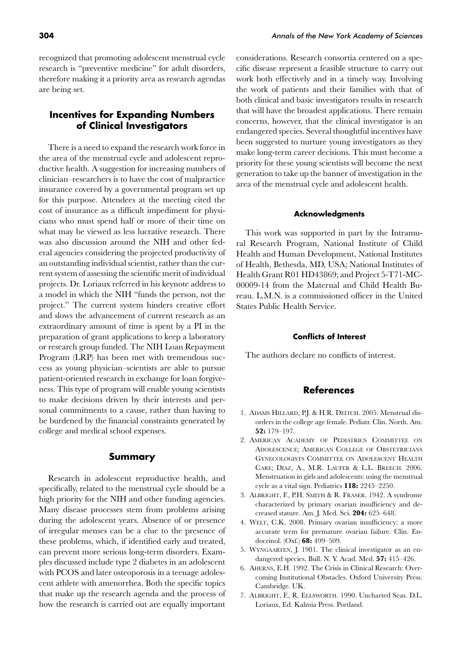recognized that promoting adolescent menstrual cycle research is "preventive medicine" for adult disorders, therefore making it a priority area as research agendas are being set.

# **Incentives for Expanding Numbers of Clinical Investigators**

There is a need to expand the research work force in the area of the menstrual cycle and adolescent reproductive health. A suggestion for increasing numbers of clinician–researchers is to have the cost of malpractice insurance covered by a governmental program set up for this purpose. Attendees at the meeting cited the cost of insurance as a difficult impediment for physicians who must spend half or more of their time on what may be viewed as less lucrative research. There was also discussion around the NIH and other federal agencies considering the projected productivity of an outstanding individual scientist, rather than the current system of assessing the scientific merit of individual projects. Dr. Loriaux referred in his keynote address to a model in which the NIH "funds the person, not the project." The current system hinders creative effort and slows the advancement of current research as an extraordinary amount of time is spent by a PI in the preparation of grant applications to keep a laboratory or research group funded. The NIH Loan Repayment Program (LRP) has been met with tremendous success as young physician–scientists are able to pursue patient-oriented research in exchange for loan forgiveness. This type of program will enable young scientists to make decisions driven by their interests and personal commitments to a cause, rather than having to be burdened by the financial constraints generated by college and medical school expenses.

## **Summary**

Research in adolescent reproductive health, and specifically, related to the menstrual cycle should be a high priority for the NIH and other funding agencies. Many disease processes stem from problems arising during the adolescent years. Absence of or presence of irregular menses can be a clue to the presence of these problems, which, if identified early and treated, can prevent more serious long-term disorders. Examples discussed include type 2 diabetes in an adolescent with PCOS and later osteoporosis in a teenage adolescent athlete with amenorrhea. Both the specific topics that make up the research agenda and the process of how the research is carried out are equally important considerations. Research consortia centered on a specific disease represent a feasible structure to carry out work both effectively and in a timely way. Involving the work of patients and their families with that of both clinical and basic investigators results in research that will have the broadest applications. There remain concerns, however, that the clinical investigator is an endangered species. Several thoughtful incentives have been suggested to nurture young investigators as they make long-term career decisions. This must become a priority for these young scientists will become the next generation to take up the banner of investigation in the area of the menstrual cycle and adolescent health.

#### **Acknowledgments**

This work was supported in part by the Intramural Research Program, National Institute of Child Health and Human Development, National Institutes of Health, Bethesda, MD, USA; National Institutes of Health Grant R01 HD43869; and Project 5-T71-MC-00009-14 from the Maternal and Child Health Bureau. L.M.N. is a commissioned officer in the United States Public Health Service.

#### **Conflicts of Interest**

The authors declare no conflicts of interest.

# **References**

- 1. ADAMS HILLARD, P.J. & H.R. DEITCH. 2005. Menstrual disorders in the college age female. Pediatr. Clin. North. Am. **52:** 179–197.
- 2. AMERICAN ACADEMY OF PEDIATRICS COMMITTEE ON ADOLESCENCE; AMERICAN COLLEGE OF OBSTETRICIANS GYNECOLOGISTS COMMITTEE ON ADOLESCENT HEALTH CARE; DIAZ, A., M.R. LAUFER & L.L. BREECH. 2006. Menstruation in girls and adolescents: using the menstrual cycle as a vital sign. Pediatrics **118:** 2245–2250.
- 3. ALBRIGHT, F., P.H. SMITH & R. FRASER. 1942. A syndrome characterized by primary ovarian insufficiency and decreased stature. Am. J. Med. Sci. **204:** 625–648.
- 4. WELT, C.K. 2008. Primary ovarian insufficiency: a more accurate term for premature ovarian failure. Clin. Endocrinol. (Oxf.) **68:** 499–509.
- 5. WYNGAARTEN, J. 1981. The clinical investigator as an endangered species. Bull. N. Y. Acad. Med. **57:** 415–426.
- 6. AHERNS, E.H. 1992. The Crisis in Clinical Research: Overcoming Institutional Obstacles. Oxford University Press. Cambridge. UK.
- 7. ALBRIGHT, F., R. ELLSWORTH. 1990. Uncharted Seas. D.L. Loriaux, Ed. Kalmia Press. Portland.